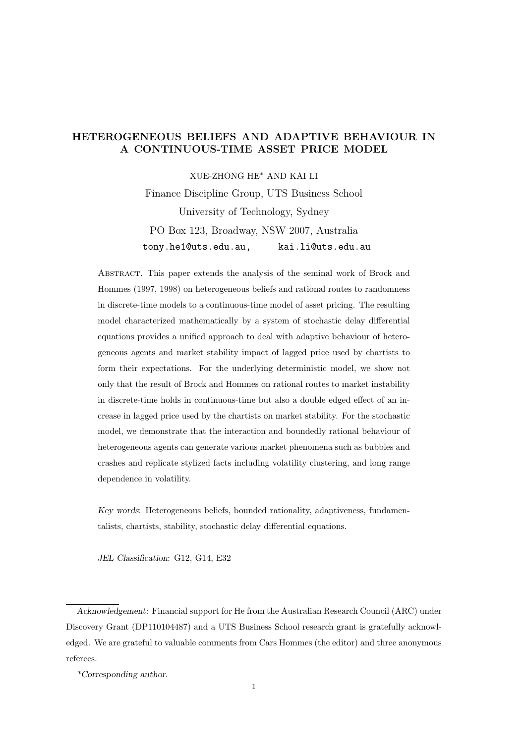# HETEROGENEOUS BELIEFS AND ADAPTIVE BEHAVIOUR IN A CONTINUOUS-TIME ASSET PRICE MODEL

XUE-ZHONG HE<sup>∗</sup> AND KAI LI

Finance Discipline Group, UTS Business School University of Technology, Sydney PO Box 123, Broadway, NSW 2007, Australia tony.he1@uts.edu.au, kai.li@uts.edu.au

Abstract. This paper extends the analysis of the seminal work of Brock and Hommes (1997, 1998) on heterogeneous beliefs and rational routes to randomness in discrete-time models to a continuous-time model of asset pricing. The resulting model characterized mathematically by a system of stochastic delay differential equations provides a unified approach to deal with adaptive behaviour of heterogeneous agents and market stability impact of lagged price used by chartists to form their expectations. For the underlying deterministic model, we show not only that the result of Brock and Hommes on rational routes to market instability in discrete-time holds in continuous-time but also a double edged effect of an increase in lagged price used by the chartists on market stability. For the stochastic model, we demonstrate that the interaction and boundedly rational behaviour of heterogeneous agents can generate various market phenomena such as bubbles and crashes and replicate stylized facts including volatility clustering, and long range dependence in volatility.

Key words: Heterogeneous beliefs, bounded rationality, adaptiveness, fundamentalists, chartists, stability, stochastic delay differential equations.

JEL Classification: G12, G14, E32

Acknowledgement: Financial support for He from the Australian Research Council (ARC) under Discovery Grant (DP110104487) and a UTS Business School research grant is gratefully acknowledged. We are grateful to valuable comments from Cars Hommes (the editor) and three anonymous referees.

\*Corresponding author.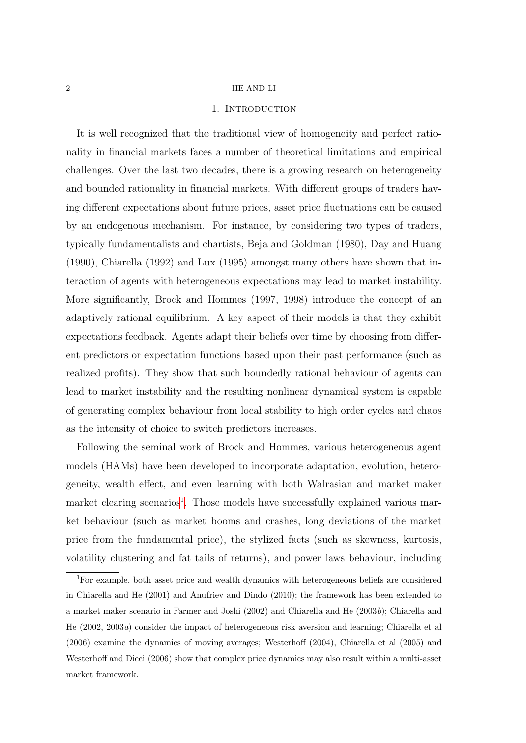## 1. INTRODUCTION

It is well recognized that the traditional view of homogeneity and perfect rationality in financial markets faces a number of theoretical limitations and empirical challenges. Over the last two decades, there is a growing research on heterogeneity and bounded rationality in financial markets. With different groups of traders having different expectations about future prices, asset price fluctuations can be caused by an endogenous mechanism. For instance, by considering two types of traders, typically fundamentalists and chartists, Beja and Goldman (1980), Day and Huang (1990), Chiarella (1992) and Lux (1995) amongst many others have shown that interaction of agents with heterogeneous expectations may lead to market instability. More significantly, Brock and Hommes (1997, 1998) introduce the concept of an adaptively rational equilibrium. A key aspect of their models is that they exhibit expectations feedback. Agents adapt their beliefs over time by choosing from different predictors or expectation functions based upon their past performance (such as realized profits). They show that such boundedly rational behaviour of agents can lead to market instability and the resulting nonlinear dynamical system is capable of generating complex behaviour from local stability to high order cycles and chaos as the intensity of choice to switch predictors increases.

Following the seminal work of Brock and Hommes, various heterogeneous agent models (HAMs) have been developed to incorporate adaptation, evolution, heterogeneity, wealth effect, and even learning with both Walrasian and market maker market clearing scenarios<sup>[1](#page-1-0)</sup>. Those models have successfully explained various market behaviour (such as market booms and crashes, long deviations of the market price from the fundamental price), the stylized facts (such as skewness, kurtosis, volatility clustering and fat tails of returns), and power laws behaviour, including

<span id="page-1-0"></span><sup>1</sup>For example, both asset price and wealth dynamics with heterogeneous beliefs are considered in Chiarella and He (2001) and Anufriev and Dindo (2010); the framework has been extended to a market maker scenario in Farmer and Joshi (2002) and Chiarella and He (2003b); Chiarella and He (2002, 2003a) consider the impact of heterogeneous risk aversion and learning; Chiarella et al (2006) examine the dynamics of moving averages; Westerhoff (2004), Chiarella et al (2005) and Westerhoff and Dieci (2006) show that complex price dynamics may also result within a multi-asset market framework.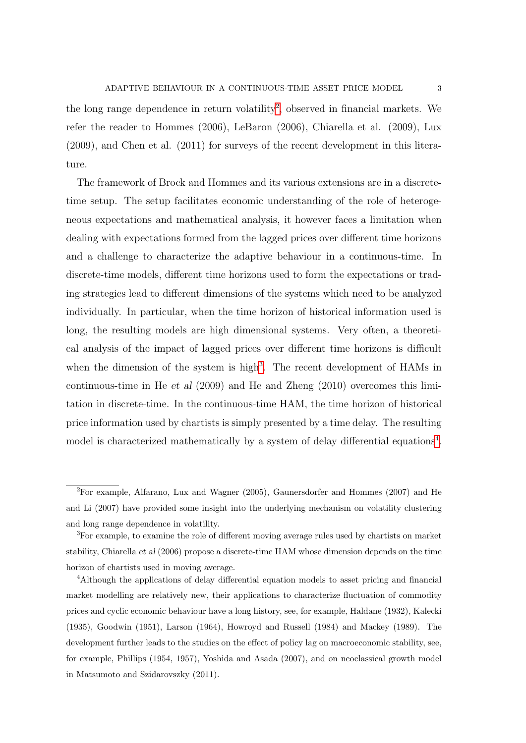#### ADAPTIVE BEHAVIOUR IN A CONTINUOUS-TIME ASSET PRICE MODEL 3

the long range dependence in return volatility<sup>[2](#page-2-0)</sup>, observed in financial markets. We refer the reader to Hommes (2006), LeBaron (2006), Chiarella et al. (2009), Lux (2009), and Chen et al. (2011) for surveys of the recent development in this literature.

The framework of Brock and Hommes and its various extensions are in a discretetime setup. The setup facilitates economic understanding of the role of heterogeneous expectations and mathematical analysis, it however faces a limitation when dealing with expectations formed from the lagged prices over different time horizons and a challenge to characterize the adaptive behaviour in a continuous-time. In discrete-time models, different time horizons used to form the expectations or trading strategies lead to different dimensions of the systems which need to be analyzed individually. In particular, when the time horizon of historical information used is long, the resulting models are high dimensional systems. Very often, a theoretical analysis of the impact of lagged prices over different time horizons is difficult when the dimension of the system is high<sup>[3](#page-2-1)</sup>. The recent development of HAMs in continuous-time in He et al (2009) and He and Zheng (2010) overcomes this limitation in discrete-time. In the continuous-time HAM, the time horizon of historical price information used by chartists is simply presented by a time delay. The resulting model is characterized mathematically by a system of delay differential equations<sup>[4](#page-2-2)</sup>.

<span id="page-2-0"></span><sup>2</sup>For example, Alfarano, Lux and Wagner (2005), Gaunersdorfer and Hommes (2007) and He and Li (2007) have provided some insight into the underlying mechanism on volatility clustering and long range dependence in volatility.

<span id="page-2-1"></span><sup>&</sup>lt;sup>3</sup>For example, to examine the role of different moving average rules used by chartists on market stability, Chiarella et al (2006) propose a discrete-time HAM whose dimension depends on the time horizon of chartists used in moving average.

<span id="page-2-2"></span><sup>&</sup>lt;sup>4</sup>Although the applications of delay differential equation models to asset pricing and financial market modelling are relatively new, their applications to characterize fluctuation of commodity prices and cyclic economic behaviour have a long history, see, for example, Haldane (1932), Kalecki (1935), Goodwin (1951), Larson (1964), Howroyd and Russell (1984) and Mackey (1989). The development further leads to the studies on the effect of policy lag on macroeconomic stability, see, for example, Phillips (1954, 1957), Yoshida and Asada (2007), and on neoclassical growth model in Matsumoto and Szidarovszky (2011).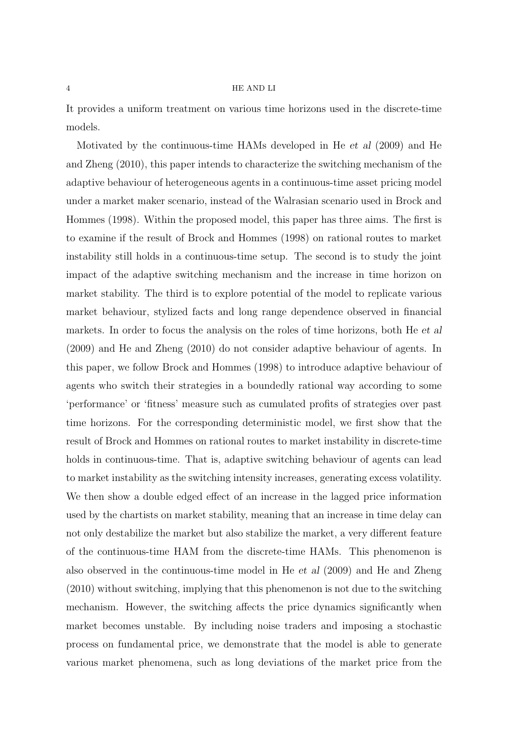It provides a uniform treatment on various time horizons used in the discrete-time models.

Motivated by the continuous-time HAMs developed in He et al (2009) and He and Zheng (2010), this paper intends to characterize the switching mechanism of the adaptive behaviour of heterogeneous agents in a continuous-time asset pricing model under a market maker scenario, instead of the Walrasian scenario used in Brock and Hommes (1998). Within the proposed model, this paper has three aims. The first is to examine if the result of Brock and Hommes (1998) on rational routes to market instability still holds in a continuous-time setup. The second is to study the joint impact of the adaptive switching mechanism and the increase in time horizon on market stability. The third is to explore potential of the model to replicate various market behaviour, stylized facts and long range dependence observed in financial markets. In order to focus the analysis on the roles of time horizons, both He et al (2009) and He and Zheng (2010) do not consider adaptive behaviour of agents. In this paper, we follow Brock and Hommes (1998) to introduce adaptive behaviour of agents who switch their strategies in a boundedly rational way according to some 'performance' or 'fitness' measure such as cumulated profits of strategies over past time horizons. For the corresponding deterministic model, we first show that the result of Brock and Hommes on rational routes to market instability in discrete-time holds in continuous-time. That is, adaptive switching behaviour of agents can lead to market instability as the switching intensity increases, generating excess volatility. We then show a double edged effect of an increase in the lagged price information used by the chartists on market stability, meaning that an increase in time delay can not only destabilize the market but also stabilize the market, a very different feature of the continuous-time HAM from the discrete-time HAMs. This phenomenon is also observed in the continuous-time model in He et al (2009) and He and Zheng (2010) without switching, implying that this phenomenon is not due to the switching mechanism. However, the switching affects the price dynamics significantly when market becomes unstable. By including noise traders and imposing a stochastic process on fundamental price, we demonstrate that the model is able to generate various market phenomena, such as long deviations of the market price from the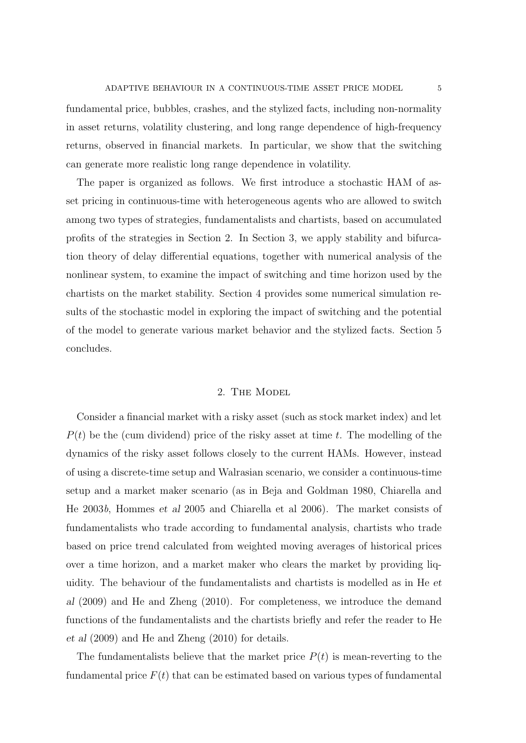fundamental price, bubbles, crashes, and the stylized facts, including non-normality in asset returns, volatility clustering, and long range dependence of high-frequency returns, observed in financial markets. In particular, we show that the switching can generate more realistic long range dependence in volatility.

The paper is organized as follows. We first introduce a stochastic HAM of asset pricing in continuous-time with heterogeneous agents who are allowed to switch among two types of strategies, fundamentalists and chartists, based on accumulated profits of the strategies in Section 2. In Section 3, we apply stability and bifurcation theory of delay differential equations, together with numerical analysis of the nonlinear system, to examine the impact of switching and time horizon used by the chartists on the market stability. Section 4 provides some numerical simulation results of the stochastic model in exploring the impact of switching and the potential of the model to generate various market behavior and the stylized facts. Section 5 concludes.

# 2. THE MODEL

Consider a financial market with a risky asset (such as stock market index) and let  $P(t)$  be the (cum dividend) price of the risky asset at time t. The modelling of the dynamics of the risky asset follows closely to the current HAMs. However, instead of using a discrete-time setup and Walrasian scenario, we consider a continuous-time setup and a market maker scenario (as in Beja and Goldman 1980, Chiarella and He 2003b, Hommes et al 2005 and Chiarella et al 2006). The market consists of fundamentalists who trade according to fundamental analysis, chartists who trade based on price trend calculated from weighted moving averages of historical prices over a time horizon, and a market maker who clears the market by providing liquidity. The behaviour of the fundamentalists and chartists is modelled as in He et al (2009) and He and Zheng (2010). For completeness, we introduce the demand functions of the fundamentalists and the chartists briefly and refer the reader to He et al (2009) and He and Zheng (2010) for details.

The fundamentalists believe that the market price  $P(t)$  is mean-reverting to the fundamental price  $F(t)$  that can be estimated based on various types of fundamental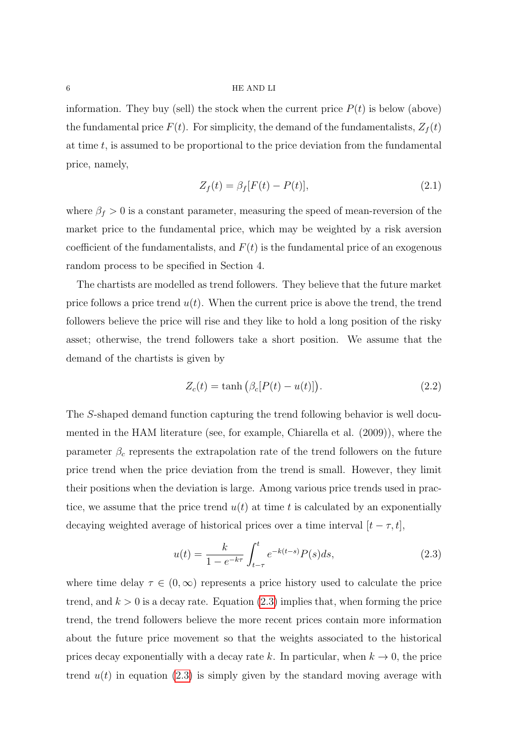information. They buy (sell) the stock when the current price  $P(t)$  is below (above) the fundamental price  $F(t)$ . For simplicity, the demand of the fundamentalists,  $Z_f(t)$ at time  $t$ , is assumed to be proportional to the price deviation from the fundamental price, namely,

<span id="page-5-1"></span>
$$
Z_f(t) = \beta_f[F(t) - P(t)],\tag{2.1}
$$

where  $\beta_f>0$  is a constant parameter, measuring the speed of mean-reversion of the market price to the fundamental price, which may be weighted by a risk aversion coefficient of the fundamentalists, and  $F(t)$  is the fundamental price of an exogenous random process to be specified in Section 4.

The chartists are modelled as trend followers. They believe that the future market price follows a price trend  $u(t)$ . When the current price is above the trend, the trend followers believe the price will rise and they like to hold a long position of the risky asset; otherwise, the trend followers take a short position. We assume that the demand of the chartists is given by

<span id="page-5-2"></span>
$$
Z_c(t) = \tanh\left(\beta_c[P(t) - u(t)]\right). \tag{2.2}
$$

The S-shaped demand function capturing the trend following behavior is well documented in the HAM literature (see, for example, Chiarella et al. (2009)), where the parameter $\beta_c$  represents the extrapolation rate of the trend followers on the future price trend when the price deviation from the trend is small. However, they limit their positions when the deviation is large. Among various price trends used in practice, we assume that the price trend  $u(t)$  at time t is calculated by an exponentially decaying weighted average of historical prices over a time interval  $[t - \tau, t]$ ,

<span id="page-5-0"></span>
$$
u(t) = \frac{k}{1 - e^{-k\tau}} \int_{t-\tau}^{t} e^{-k(t-s)} P(s) ds,
$$
\n(2.3)

where time delay  $\tau \in (0,\infty)$  represents a price history used to calculate the price trend, and  $k > 0$  is a decay rate. Equation [\(2.3\)](#page-5-0) implies that, when forming the price trend, the trend followers believe the more recent prices contain more information about the future price movement so that the weights associated to the historical prices decay exponentially with a decay rate k. In particular, when  $k \to 0$ , the price trend  $u(t)$  in equation [\(2.3\)](#page-5-0) is simply given by the standard moving average with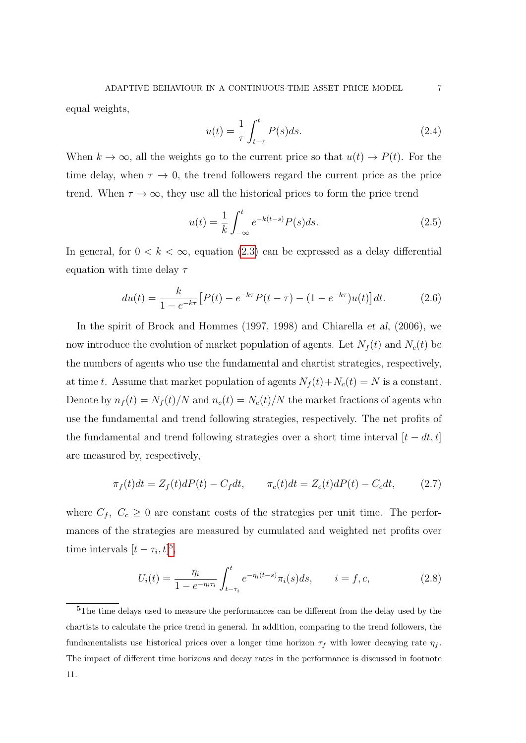equal weights,

$$
u(t) = \frac{1}{\tau} \int_{t-\tau}^{t} P(s)ds.
$$
 (2.4)

When  $k \to \infty$ , all the weights go to the current price so that  $u(t) \to P(t)$ . For the time delay, when  $\tau \to 0$ , the trend followers regard the current price as the price trend. When  $\tau \to \infty$ , they use all the historical prices to form the price trend

$$
u(t) = \frac{1}{k} \int_{-\infty}^{t} e^{-k(t-s)} P(s) ds.
$$
 (2.5)

In general, for  $0 < k < \infty$ , equation [\(2.3\)](#page-5-0) can be expressed as a delay differential equation with time delay  $\tau$ 

$$
du(t) = \frac{k}{1 - e^{-k\tau}} \left[ P(t) - e^{-k\tau} P(t - \tau) - (1 - e^{-k\tau}) u(t) \right] dt.
$$
 (2.6)

In the spirit of Brock and Hommes (1997, 1998) and Chiarella et al, (2006), we now introduce the evolution of market population of agents. Let  $N_f(t)$  and  $N_c(t)$  be the numbers of agents who use the fundamental and chartist strategies, respectively, at time t. Assume that market population of agents  $N_f(t)+N_c(t) = N$  is a constant. Denote by  $n_f(t) = N_f(t)/N$  and  $n_c(t) = N_c(t)/N$  the market fractions of agents who use the fundamental and trend following strategies, respectively. The net profits of the fundamental and trend following strategies over a short time interval  $[t - dt, t]$ are measured by, respectively,

<span id="page-6-1"></span>
$$
\pi_f(t)dt = Z_f(t)dP(t) - C_f dt, \qquad \pi_c(t)dt = Z_c(t)dP(t) - C_c dt, \qquad (2.7)
$$

where  $C_f$ ,  $C_c \geq 0$  are constant costs of the strategies per unit time. The performances of the strategies are measured by cumulated and weighted net profits over time intervals  $[t - \tau_i, t]^5$  $[t - \tau_i, t]^5$ ,

<span id="page-6-2"></span>
$$
U_i(t) = \frac{\eta_i}{1 - e^{-\eta_i \tau_i}} \int_{t - \tau_i}^t e^{-\eta_i(t - s)} \pi_i(s) ds, \qquad i = f, c,
$$
\n(2.8)

<span id="page-6-0"></span><sup>&</sup>lt;sup>5</sup>The time delays used to measure the performances can be different from the delay used by the chartists to calculate the price trend in general. In addition, comparing to the trend followers, the fundamentalists use historical prices over a longer time horizon  $\tau_f$  with lower decaying rate  $\eta_f$ . The impact of different time horizons and decay rates in the performance is discussed in footnote 11.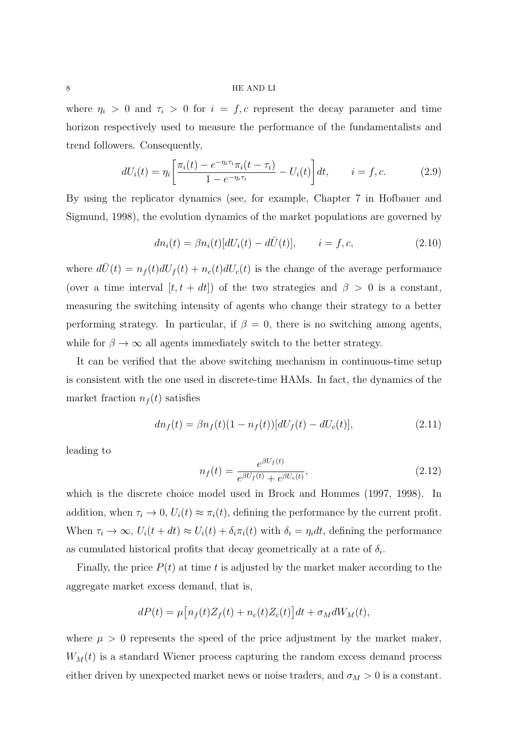where  $\eta_i > 0$  and  $\tau_i > 0$  for  $i = f, c$  represent the decay parameter and time horizon respectively used to measure the performance of the fundamentalists and trend followers. Consequently,

$$
dU_i(t) = \eta_i \left[ \frac{\pi_i(t) - e^{-\eta_i \tau_i} \pi_i(t - \tau_i)}{1 - e^{-\eta_i \tau_i}} - U_i(t) \right] dt, \qquad i = f, c.
$$
 (2.9)

By using the replicator dynamics (see, for example, Chapter 7 in Hofbauer and Sigmund, 1998), the evolution dynamics of the market populations are governed by

$$
dn_i(t) = \beta n_i(t)[dU_i(t) - d\bar{U}(t)], \qquad i = f, c,
$$
\n(2.10)

where  $d\bar{U}(t) = n_f(t) dU_f(t) + n_c(t) dU_c(t)$  is the change of the average performance (over a time interval  $[t, t + dt]$ ) of the two strategies and  $\beta > 0$  is a constant, measuring the switching intensity of agents who change their strategy to a better performing strategy. In particular, if  $\beta = 0$ , there is no switching among agents, while for  $\beta \to \infty$  all agents immediately switch to the better strategy.

It can be verified that the above switching mechanism in continuous-time setup is consistent with the one used in discrete-time HAMs. In fact, the dynamics of the market fraction  $n_f(t)$  satisfies

$$
dn_f(t) = \beta n_f(t)(1 - n_f(t))[dU_f(t) - dU_c(t)],
$$
\n(2.11)

leading to

<span id="page-7-0"></span>
$$
n_f(t) = \frac{e^{\beta U_f(t)}}{e^{\beta U_f(t)} + e^{\beta U_c(t)}},
$$
\n(2.12)

which is the discrete choice model used in Brock and Hommes (1997, 1998). In addition, when  $\tau_i \to 0$ ,  $U_i(t) \approx \pi_i(t)$ , defining the performance by the current profit. When  $\tau_i \to \infty$ ,  $U_i(t + dt) \approx U_i(t) + \delta_i \pi_i(t)$  with  $\delta_i = \eta_i dt$ , defining the performance as cumulated historical profits that decay geometrically at a rate of  $\delta_i$ .

Finally, the price  $P(t)$  at time t is adjusted by the market maker according to the aggregate market excess demand, that is,

$$
dP(t) = \mu \big[ n_f(t) Z_f(t) + n_c(t) Z_c(t) \big] dt + \sigma_M dW_M(t),
$$

where  $\mu > 0$  represents the speed of the price adjustment by the market maker,  $W_M(t)$  is a standard Wiener process capturing the random excess demand process either driven by unexpected market news or noise traders, and  $\sigma_M > 0$  is a constant.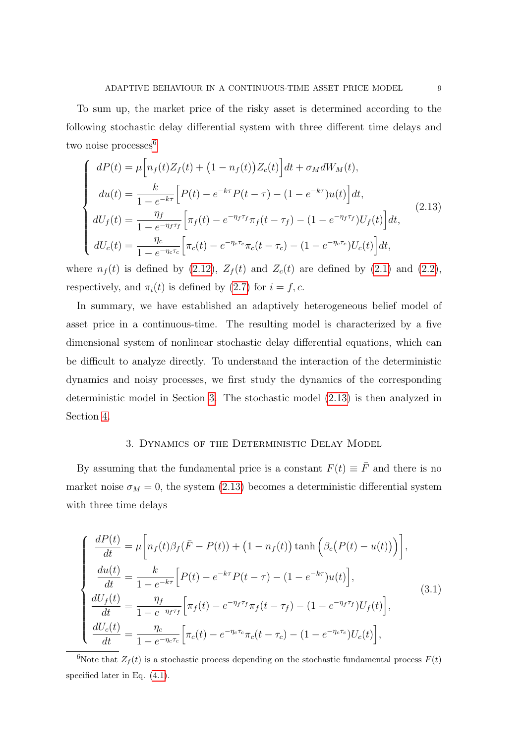To sum up, the market price of the risky asset is determined according to the following stochastic delay differential system with three different time delays and two noise processes<sup>[6](#page-8-0)</sup>

<span id="page-8-2"></span>
$$
\begin{cases}\ndP(t) = \mu \Big[ n_f(t) Z_f(t) + (1 - n_f(t)) Z_c(t) \Big] dt + \sigma_M dW_M(t), \\
du(t) = \frac{k}{1 - e^{-k\tau}} \Big[ P(t) - e^{-k\tau} P(t - \tau) - (1 - e^{-k\tau}) u(t) \Big] dt, \\
dU_f(t) = \frac{\eta_f}{1 - e^{-\eta_f \tau_f}} \Big[ \pi_f(t) - e^{-\eta_f \tau_f} \pi_f(t - \tau_f) - (1 - e^{-\eta_f \tau_f}) U_f(t) \Big] dt, \\
dU_c(t) = \frac{\eta_c}{1 - e^{-\eta_c \tau_c}} \Big[ \pi_c(t) - e^{-\eta_c \tau_c} \pi_c(t - \tau_c) - (1 - e^{-\eta_c \tau_c}) U_c(t) \Big] dt,\n\end{cases} \tag{2.13}
$$

where  $n_f(t)$  is defined by [\(2.12\)](#page-7-0),  $Z_f(t)$  and  $Z_c(t)$  are defined by [\(2.1\)](#page-5-1) and [\(2.2\)](#page-5-2), respectively, and  $\pi_i(t)$  is defined by [\(2.7\)](#page-6-1) for  $i = f, c$ .

In summary, we have established an adaptively heterogeneous belief model of asset price in a continuous-time. The resulting model is characterized by a five dimensional system of nonlinear stochastic delay differential equations, which can be difficult to analyze directly. To understand the interaction of the deterministic dynamics and noisy processes, we first study the dynamics of the corresponding deterministic model in Section [3.](#page-8-1) The stochastic model [\(2.13\)](#page-8-2) is then analyzed in Section [4.](#page-16-0)

# 3. Dynamics of the Deterministic Delay Model

<span id="page-8-1"></span>By assuming that the fundamental price is a constant  $F(t) \equiv \overline{F}$  and there is no market noise  $\sigma_M = 0$ , the system [\(2.13\)](#page-8-2) becomes a deterministic differential system with three time delays

<span id="page-8-3"></span>
$$
\begin{cases}\n\frac{dP(t)}{dt} = \mu \bigg[ n_f(t) \beta_f(\bar{F} - P(t)) + (1 - n_f(t)) \tanh \left( \beta_c (P(t) - u(t)) \right) \bigg], \\
\frac{du(t)}{dt} = \frac{k}{1 - e^{-k\tau}} \bigg[ P(t) - e^{-k\tau} P(t - \tau) - (1 - e^{-k\tau}) u(t) \bigg], \\
\frac{dU_f(t)}{dt} = \frac{\eta_f}{1 - e^{-\eta_f \tau_f}} \bigg[ \pi_f(t) - e^{-\eta_f \tau_f} \pi_f(t - \tau_f) - (1 - e^{-\eta_f \tau_f}) U_f(t) \bigg], \\
\frac{dU_c(t)}{dt} = \frac{\eta_c}{1 - e^{-\eta_c \tau_c}} \bigg[ \pi_c(t) - e^{-\eta_c \tau_c} \pi_c(t - \tau_c) - (1 - e^{-\eta_c \tau_c}) U_c(t) \bigg],\n\end{cases} \tag{3.1}
$$

<span id="page-8-0"></span><sup>6</sup>Note that  $Z_f(t)$  is a stochastic process depending on the stochastic fundamental process  $F(t)$ specified later in Eq. [\(4.1\)](#page-16-1).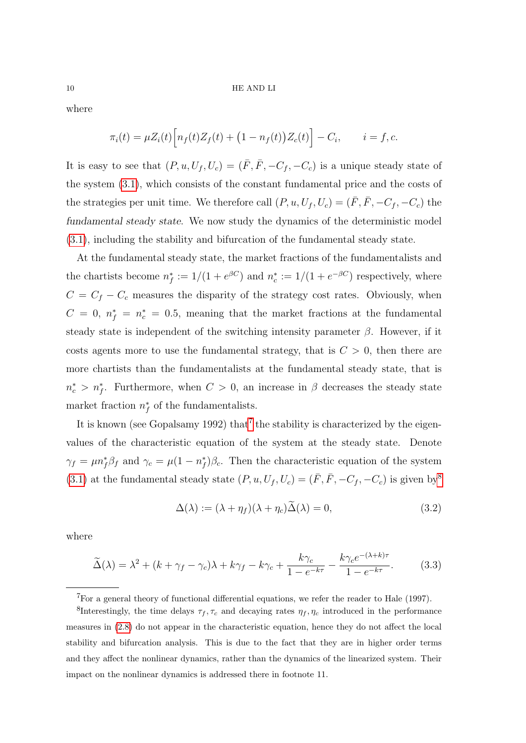where

$$
\pi_i(t) = \mu Z_i(t) \Big[ n_f(t) Z_f(t) + (1 - n_f(t)) Z_c(t) \Big] - C_i, \qquad i = f, c.
$$

It is easy to see that  $(P, u, U_f, U_c) = (\bar{F}, \bar{F}, -C_f, -C_c)$  is a unique steady state of the system [\(3.1\)](#page-8-3), which consists of the constant fundamental price and the costs of the strategies per unit time. We therefore call  $(P, u, U_f, U_c) = (\bar{F}, \bar{F}, -C_f, -C_c)$  the fundamental steady state. We now study the dynamics of the deterministic model [\(3.1\)](#page-8-3), including the stability and bifurcation of the fundamental steady state.

At the fundamental steady state, the market fractions of the fundamentalists and the chartists become  $n_f^* := 1/(1 + e^{\beta C})$  and  $n_c^* := 1/(1 + e^{-\beta C})$  respectively, where  $C = C_f - C_c$  measures the disparity of the strategy cost rates. Obviously, when  $C = 0, n_f^* = n_c^* = 0.5$ , meaning that the market fractions at the fundamental steady state is independent of the switching intensity parameter  $\beta$ . However, if it costs agents more to use the fundamental strategy, that is  $C > 0$ , then there are more chartists than the fundamentalists at the fundamental steady state, that is  $n_c^* > n_f^*$ . Furthermore, when  $C > 0$ , an increase in  $\beta$  decreases the steady state market fraction  $n_f^*$  of the fundamentalists.

It is known (see Gopalsamy 1992) that<sup>[7](#page-9-0)</sup> the stability is characterized by the eigenvalues of the characteristic equation of the system at the steady state. Denote  $\gamma_f = \mu n_f^* \beta_f$  and  $\gamma_c = \mu (1 - n_f^*) \beta_c$ . Then the characteristic equation of the system [\(3.1\)](#page-8-3) at the fundamental steady state  $(P, u, U_f, U_c) = (\bar{F}, \bar{F}, -C_f, -C_c)$  is given by<sup>[8](#page-9-1)</sup>

$$
\Delta(\lambda) := (\lambda + \eta_f)(\lambda + \eta_c)\widetilde{\Delta}(\lambda) = 0,
$$
\n(3.2)

where

<span id="page-9-2"></span>
$$
\widetilde{\Delta}(\lambda) = \lambda^2 + (k + \gamma_f - \gamma_c)\lambda + k\gamma_f - k\gamma_c + \frac{k\gamma_c}{1 - e^{-k\tau}} - \frac{k\gamma_c e^{-(\lambda + k)\tau}}{1 - e^{-k\tau}}.
$$
\n(3.3)

<span id="page-9-1"></span><span id="page-9-0"></span><sup>&</sup>lt;sup>7</sup>For a general theory of functional differential equations, we refer the reader to Hale (1997).

<sup>&</sup>lt;sup>8</sup>Interestingly, the time delays  $\tau_f, \tau_c$  and decaying rates  $\eta_f, \eta_c$  introduced in the performance measures in [\(2.8\)](#page-6-2) do not appear in the characteristic equation, hence they do not affect the local stability and bifurcation analysis. This is due to the fact that they are in higher order terms and they affect the nonlinear dynamics, rather than the dynamics of the linearized system. Their impact on the nonlinear dynamics is addressed there in footnote 11.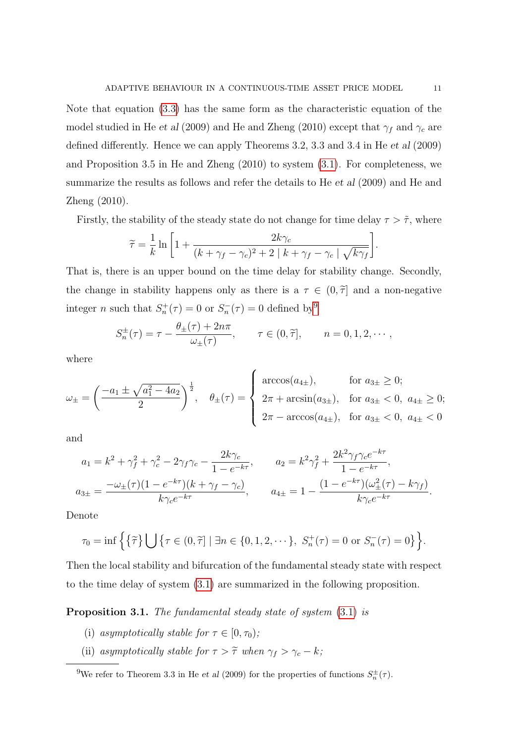Note that equation [\(3.3\)](#page-9-2) has the same form as the characteristic equation of the model studied in He et al (2009) and He and Zheng (2010) except that  $\gamma_f$  and  $\gamma_c$  are defined differently. Hence we can apply Theorems 3.2, 3.3 and 3.4 in He et al (2009) and Proposition 3.5 in He and Zheng (2010) to system [\(3.1\)](#page-8-3). For completeness, we summarize the results as follows and refer the details to He et al (2009) and He and Zheng (2010).

Firstly, the stability of the steady state do not change for time delay  $\tau > \tilde{\tau}$ , where

$$
\widetilde{\tau} = \frac{1}{k} \ln \left[ 1 + \frac{2k\gamma_c}{(k + \gamma_f - \gamma_c)^2 + 2 |k + \gamma_f - \gamma_c| \sqrt{k\gamma_f}} \right].
$$

That is, there is an upper bound on the time delay for stability change. Secondly, the change in stability happens only as there is a  $\tau \in (0, \tilde{\tau}]$  and a non-negative integer *n* such that  $S_n^+(\tau) = 0$  or  $S_n^-(\tau) = 0$  defined by<sup>[9](#page-10-0)</sup>

$$
S_n^{\pm}(\tau) = \tau - \frac{\theta_{\pm}(\tau) + 2n\pi}{\omega_{\pm}(\tau)}, \qquad \tau \in (0, \tilde{\tau}], \qquad n = 0, 1, 2, \cdots,
$$

where

$$
\omega_{\pm} = \left(\frac{-a_1 \pm \sqrt{a_1^2 - 4a_2}}{2}\right)^{\frac{1}{2}}, \quad \theta_{\pm}(\tau) = \begin{cases} \arccos(a_{4\pm}), & \text{for } a_{3\pm} \ge 0; \\ 2\pi + \arcsin(a_{3\pm}), & \text{for } a_{3\pm} < 0, \ a_{4\pm} \ge 0; \\ 2\pi - \arccos(a_{4\pm}), & \text{for } a_{3\pm} < 0, \ a_{4\pm} < 0 \end{cases}
$$

and

$$
a_1 = k^2 + \gamma_f^2 + \gamma_c^2 - 2\gamma_f\gamma_c - \frac{2k\gamma_c}{1 - e^{-k\tau}}, \qquad a_2 = k^2\gamma_f^2 + \frac{2k^2\gamma_f\gamma_c e^{-k\tau}}{1 - e^{-k\tau}},
$$
  

$$
a_{3\pm} = \frac{-\omega_{\pm}(\tau)(1 - e^{-k\tau})(k + \gamma_f - \gamma_c)}{k\gamma_c e^{-k\tau}}, \qquad a_{4\pm} = 1 - \frac{(1 - e^{-k\tau})(\omega_{\pm}^2(\tau) - k\gamma_f)}{k\gamma_c e^{-k\tau}}.
$$

Denote

$$
\tau_0 = \inf \left\{ \left\{ \widetilde{\tau} \right\} \bigcup \left\{ \tau \in (0, \widetilde{\tau}] \mid \exists n \in \{0, 1, 2, \cdots\}, \ S_n^+(\tau) = 0 \text{ or } S_n^-(\tau) = 0 \right\} \right\}.
$$

Then the local stability and bifurcation of the fundamental steady state with respect to the time delay of system [\(3.1\)](#page-8-3) are summarized in the following proposition.

# <span id="page-10-1"></span>Proposition 3.1. The fundamental steady state of system  $(3.1)$  is

- (i) asymptotically stable for  $\tau \in [0, \tau_0)$ ;
- (ii) asymptotically stable for  $\tau > \tilde{\tau}$  when  $\gamma_f > \gamma_c k$ ;

<span id="page-10-0"></span><sup>&</sup>lt;sup>9</sup>We refer to Theorem 3.3 in He et al (2009) for the properties of functions  $S_n^{\pm}(\tau)$ .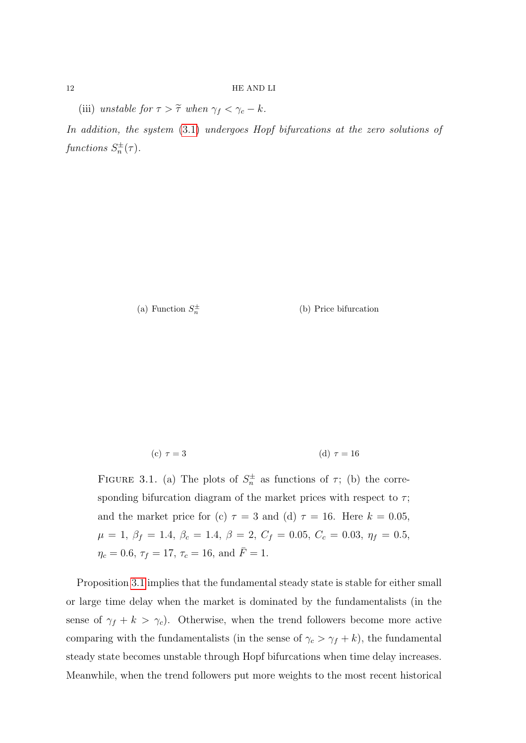(iii) unstable for  $\tau > \tilde{\tau}$  when  $\gamma_f < \gamma_c - k$ .

In addition, the system [\(3.1\)](#page-8-3) undergoes Hopf bifurcations at the zero solutions of functions  $S_n^{\pm}(\tau)$ .

(a) Function  $S_n^{\pm}$ 

(b) Price bifurcation

<span id="page-11-0"></span>
$$
(c) \tau = 3 \qquad (d) \tau = 16
$$

FIGURE 3.1. (a) The plots of  $S_n^{\pm}$  as functions of  $\tau$ ; (b) the corresponding bifurcation diagram of the market prices with respect to  $\tau$ ; and the market price for (c)  $\tau = 3$  and (d)  $\tau = 16$ . Here  $k = 0.05$ ,  $\mu = 1, \ \beta_f = 1.4, \ \beta_c = 1.4, \ \beta = 2, \ C_f = 0.05, \ C_c = 0.03, \ \eta_f = 0.5,$  $\eta_c = 0.6, \tau_f = 17, \tau_c = 16, \text{ and } \bar{F} = 1.$ 

Proposition [3.1](#page-10-1) implies that the fundamental steady state is stable for either small or large time delay when the market is dominated by the fundamentalists (in the sense of  $\gamma_f + k > \gamma_c$ . Otherwise, when the trend followers become more active comparing with the fundamentalists (in the sense of  $\gamma_c > \gamma_f + k$ ), the fundamental steady state becomes unstable through Hopf bifurcations when time delay increases. Meanwhile, when the trend followers put more weights to the most recent historical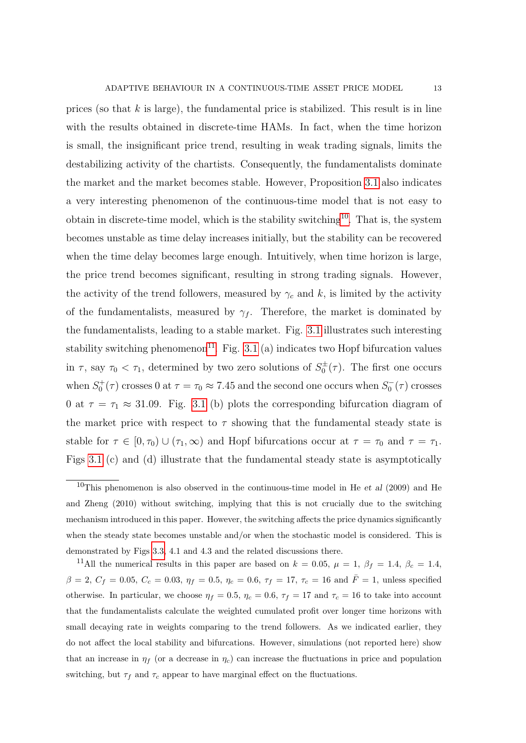prices (so that  $k$  is large), the fundamental price is stabilized. This result is in line with the results obtained in discrete-time HAMs. In fact, when the time horizon is small, the insignificant price trend, resulting in weak trading signals, limits the destabilizing activity of the chartists. Consequently, the fundamentalists dominate the market and the market becomes stable. However, Proposition [3.1](#page-10-1) also indicates a very interesting phenomenon of the continuous-time model that is not easy to obtain in discrete-time model, which is the stability switching<sup>[10](#page-12-0)</sup>. That is, the system becomes unstable as time delay increases initially, but the stability can be recovered when the time delay becomes large enough. Intuitively, when time horizon is large, the price trend becomes significant, resulting in strong trading signals. However, the activity of the trend followers, measured by  $\gamma_c$  and k, is limited by the activity of the fundamentalists, measured by  $\gamma_f$ . Therefore, the market is dominated by the fundamentalists, leading to a stable market. Fig. [3.1](#page-11-0) illustrates such interesting stability switching phenomenon<sup>[11](#page-12-1)</sup>. Fig. [3.1](#page-11-0) (a) indicates two Hopf bifurcation values in  $\tau$ , say  $\tau_0 < \tau_1$ , determined by two zero solutions of  $S_0^{\pm}(\tau)$ . The first one occurs when  $S_0^+(\tau)$  crosses 0 at  $\tau = \tau_0 \approx 7.45$  and the second one occurs when  $S_0^-(\tau)$  crosses 0 at  $\tau = \tau_1 \approx 31.09$ . Fig. [3.1](#page-11-0) (b) plots the corresponding bifurcation diagram of the market price with respect to  $\tau$  showing that the fundamental steady state is stable for  $\tau \in [0, \tau_0) \cup (\tau_1, \infty)$  and Hopf bifurcations occur at  $\tau = \tau_0$  and  $\tau = \tau_1$ . Figs [3.1](#page-11-0) (c) and (d) illustrate that the fundamental steady state is asymptotically

<span id="page-12-0"></span><sup>&</sup>lt;sup>10</sup>This phenomenon is also observed in the continuous-time model in He et al  $(2009)$  and He and Zheng (2010) without switching, implying that this is not crucially due to the switching mechanism introduced in this paper. However, the switching affects the price dynamics significantly when the steady state becomes unstable and/or when the stochastic model is considered. This is demonstrated by Figs [3.3,](#page-14-0) 4.1 and 4.3 and the related discussions there.

<span id="page-12-1"></span><sup>&</sup>lt;sup>11</sup>All the numerical results in this paper are based on  $k = 0.05$ ,  $\mu = 1$ ,  $\beta_f = 1.4$ ,  $\beta_c = 1.4$ ,  $\beta = 2, C_f = 0.05, C_c = 0.03, \eta_f = 0.5, \eta_c = 0.6, \tau_f = 17, \tau_c = 16$  and  $\bar{F} = 1$ , unless specified otherwise. In particular, we choose  $\eta_f = 0.5$ ,  $\eta_c = 0.6$ ,  $\tau_f = 17$  and  $\tau_c = 16$  to take into account that the fundamentalists calculate the weighted cumulated profit over longer time horizons with small decaying rate in weights comparing to the trend followers. As we indicated earlier, they do not affect the local stability and bifurcations. However, simulations (not reported here) show that an increase in  $\eta_f$  (or a decrease in  $\eta_c$ ) can increase the fluctuations in price and population switching, but  $\tau_f$  and  $\tau_c$  appear to have marginal effect on the fluctuations.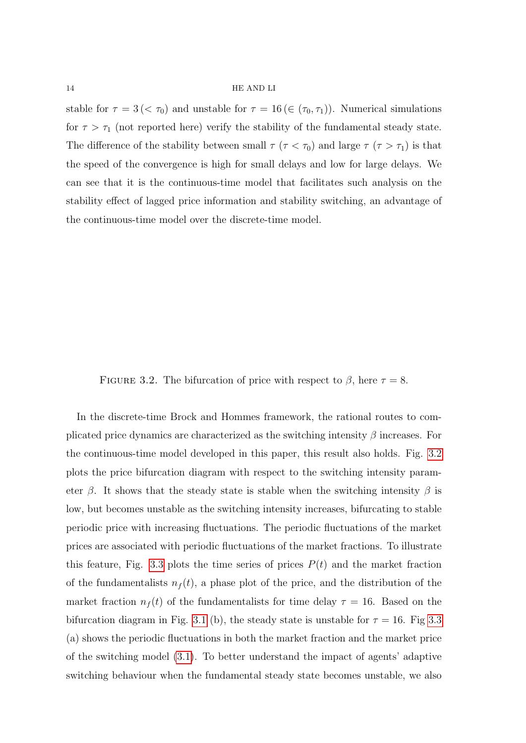stable for  $\tau = 3 \, (< \tau_0)$  and unstable for  $\tau = 16 \, (\in (\tau_0, \tau_1))$ . Numerical simulations for  $\tau > \tau_1$  (not reported here) verify the stability of the fundamental steady state. The difference of the stability between small  $\tau$  ( $\tau < \tau_0$ ) and large  $\tau$  ( $\tau > \tau_1$ ) is that the speed of the convergence is high for small delays and low for large delays. We can see that it is the continuous-time model that facilitates such analysis on the stability effect of lagged price information and stability switching, an advantage of the continuous-time model over the discrete-time model.

<span id="page-13-0"></span>FIGURE 3.2. The bifurcation of price with respect to  $\beta$ , here  $\tau = 8$ .

In the discrete-time Brock and Hommes framework, the rational routes to complicated price dynamics are characterized as the switching intensity  $\beta$  increases. For the continuous-time model developed in this paper, this result also holds. Fig. [3.2](#page-13-0) plots the price bifurcation diagram with respect to the switching intensity parameter  $\beta$ . It shows that the steady state is stable when the switching intensity  $\beta$  is low, but becomes unstable as the switching intensity increases, bifurcating to stable periodic price with increasing fluctuations. The periodic fluctuations of the market prices are associated with periodic fluctuations of the market fractions. To illustrate this feature, Fig. [3.3](#page-14-0) plots the time series of prices  $P(t)$  and the market fraction of the fundamentalists  $n_f(t)$ , a phase plot of the price, and the distribution of the market fraction  $n_f(t)$  of the fundamentalists for time delay  $\tau = 16$ . Based on the bifurcation diagram in Fig. [3.1](#page-11-0) (b), the steady state is unstable for  $\tau = 16$ . Fig [3.3](#page-14-0) (a) shows the periodic fluctuations in both the market fraction and the market price of the switching model [\(3.1\)](#page-8-3). To better understand the impact of agents' adaptive switching behaviour when the fundamental steady state becomes unstable, we also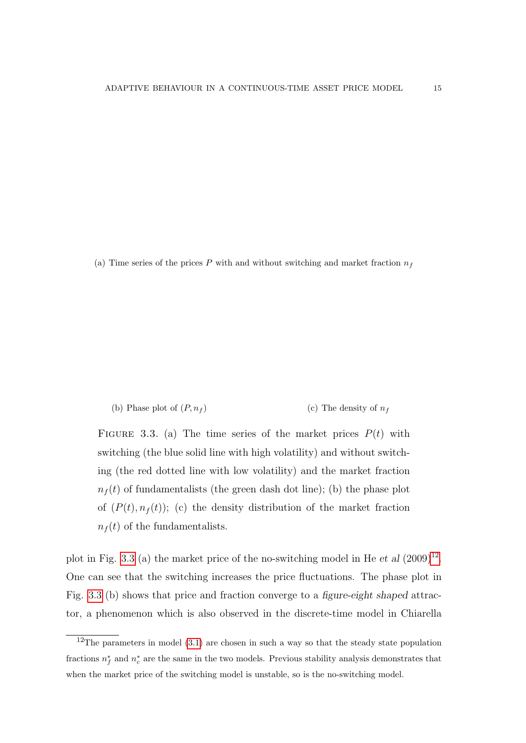(a) Time series of the prices P with and without switching and market fraction  $n_f$ 

## <span id="page-14-0"></span>(b) Phase plot of  $(P, n_f)$  (c) The density of  $n_f$

FIGURE 3.3. (a) The time series of the market prices  $P(t)$  with switching (the blue solid line with high volatility) and without switching (the red dotted line with low volatility) and the market fraction  $n_f(t)$  of fundamentalists (the green dash dot line); (b) the phase plot of  $(P(t), n_f(t))$ ; (c) the density distribution of the market fraction  $n_f(t)$  of the fundamentalists.

plot in Fig. [3.3](#page-14-0) (a) the market price of the no-switching model in He et al  $(2009)^{12}$  $(2009)^{12}$  $(2009)^{12}$ . One can see that the switching increases the price fluctuations. The phase plot in Fig. [3.3](#page-14-0) (b) shows that price and fraction converge to a figure-eight shaped attractor, a phenomenon which is also observed in the discrete-time model in Chiarella

<span id="page-14-1"></span> $12$ The parameters in model [\(3.1\)](#page-8-3) are chosen in such a way so that the steady state population fractions  $n_f^*$  and  $n_c^*$  are the same in the two models. Previous stability analysis demonstrates that when the market price of the switching model is unstable, so is the no-switching model.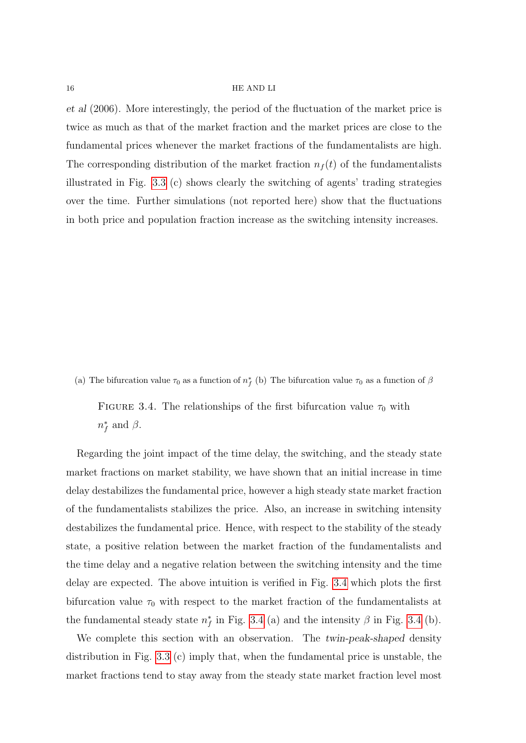et al (2006). More interestingly, the period of the fluctuation of the market price is twice as much as that of the market fraction and the market prices are close to the fundamental prices whenever the market fractions of the fundamentalists are high. The corresponding distribution of the market fraction  $n_f(t)$  of the fundamentalists illustrated in Fig. [3.3](#page-14-0) (c) shows clearly the switching of agents' trading strategies over the time. Further simulations (not reported here) show that the fluctuations in both price and population fraction increase as the switching intensity increases.

(a) The bifurcation value  $\tau_0$  as a function of  $n_f^*$  (b) The bifurcation value  $\tau_0$  as a function of  $\beta$ 

<span id="page-15-0"></span>FIGURE 3.4. The relationships of the first bifurcation value  $\tau_0$  with  $n_f^*$  and  $\beta$ .

Regarding the joint impact of the time delay, the switching, and the steady state market fractions on market stability, we have shown that an initial increase in time delay destabilizes the fundamental price, however a high steady state market fraction of the fundamentalists stabilizes the price. Also, an increase in switching intensity destabilizes the fundamental price. Hence, with respect to the stability of the steady state, a positive relation between the market fraction of the fundamentalists and the time delay and a negative relation between the switching intensity and the time delay are expected. The above intuition is verified in Fig. [3.4](#page-15-0) which plots the first bifurcation value  $\tau_0$  with respect to the market fraction of the fundamentalists at the fundamental steady state  $n_f^*$  in Fig. [3.4](#page-15-0) (a) and the intensity  $\beta$  in Fig. 3.4 (b).

We complete this section with an observation. The twin-peak-shaped density distribution in Fig. [3.3](#page-14-0) (c) imply that, when the fundamental price is unstable, the market fractions tend to stay away from the steady state market fraction level most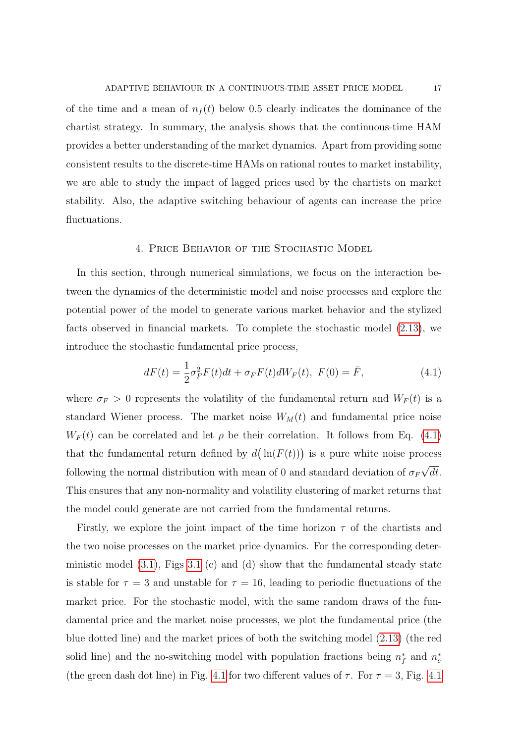of the time and a mean of  $n_f(t)$  below 0.5 clearly indicates the dominance of the chartist strategy. In summary, the analysis shows that the continuous-time HAM provides a better understanding of the market dynamics. Apart from providing some consistent results to the discrete-time HAMs on rational routes to market instability, we are able to study the impact of lagged prices used by the chartists on market stability. Also, the adaptive switching behaviour of agents can increase the price fluctuations.

# 4. Price Behavior of the Stochastic Model

<span id="page-16-0"></span>In this section, through numerical simulations, we focus on the interaction between the dynamics of the deterministic model and noise processes and explore the potential power of the model to generate various market behavior and the stylized facts observed in financial markets. To complete the stochastic model [\(2.13\)](#page-8-2), we introduce the stochastic fundamental price process,

<span id="page-16-1"></span>
$$
dF(t) = \frac{1}{2}\sigma_F^2 F(t)dt + \sigma_F F(t)dW_F(t), \ F(0) = \bar{F}, \tag{4.1}
$$

where  $\sigma_F > 0$  represents the volatility of the fundamental return and  $W_F(t)$  is a standard Wiener process. The market noise  $W_M(t)$  and fundamental price noise  $W_F(t)$  can be correlated and let  $\rho$  be their correlation. It follows from Eq. [\(4.1\)](#page-16-1) that the fundamental return defined by  $d(\ln(F(t)))$  is a pure white noise process following the normal distribution with mean of 0 and standard deviation of  $\sigma_F$ √ dt. This ensures that any non-normality and volatility clustering of market returns that the model could generate are not carried from the fundamental returns.

Firstly, we explore the joint impact of the time horizon  $\tau$  of the chartists and the two noise processes on the market price dynamics. For the corresponding deterministic model  $(3.1)$ , Figs [3.1](#page-11-0) (c) and (d) show that the fundamental steady state is stable for  $\tau = 3$  and unstable for  $\tau = 16$ , leading to periodic fluctuations of the market price. For the stochastic model, with the same random draws of the fundamental price and the market noise processes, we plot the fundamental price (the blue dotted line) and the market prices of both the switching model [\(2.13\)](#page-8-2) (the red solid line) and the no-switching model with population fractions being  $n_f^*$  and  $n_c^*$ (the green dash dot line) in Fig. [4.1](#page-17-0) for two different values of  $\tau$ . For  $\tau = 3$ , Fig. 4.1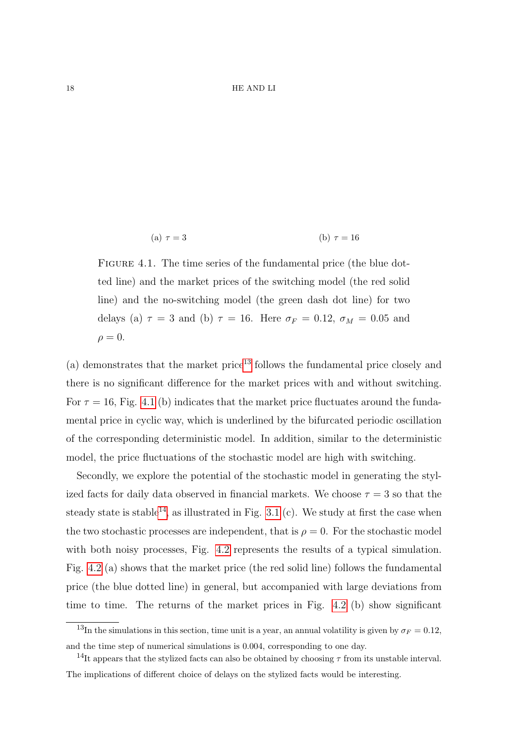<span id="page-17-0"></span>
$$
(a) \tau = 3 \qquad (b) \tau = 16
$$

FIGURE 4.1. The time series of the fundamental price (the blue dotted line) and the market prices of the switching model (the red solid line) and the no-switching model (the green dash dot line) for two delays (a)  $\tau = 3$  and (b)  $\tau = 16$ . Here  $\sigma_F = 0.12$ ,  $\sigma_M = 0.05$  and  $\rho = 0.$ 

(a) demonstrates that the market  $price^{13}$  $price^{13}$  $price^{13}$  follows the fundamental price closely and there is no significant difference for the market prices with and without switching. For  $\tau = 16$ , Fig. [4.1](#page-17-0) (b) indicates that the market price fluctuates around the fundamental price in cyclic way, which is underlined by the bifurcated periodic oscillation of the corresponding deterministic model. In addition, similar to the deterministic model, the price fluctuations of the stochastic model are high with switching.

Secondly, we explore the potential of the stochastic model in generating the stylized facts for daily data observed in financial markets. We choose  $\tau = 3$  so that the steady state is stable<sup>[14](#page-17-2)</sup>, as illustrated in Fig. [3.1](#page-11-0) (c). We study at first the case when the two stochastic processes are independent, that is  $\rho = 0$ . For the stochastic model with both noisy processes, Fig. [4.2](#page-18-0) represents the results of a typical simulation. Fig. [4.2](#page-18-0) (a) shows that the market price (the red solid line) follows the fundamental price (the blue dotted line) in general, but accompanied with large deviations from time to time. The returns of the market prices in Fig. [4.2](#page-18-0) (b) show significant

<span id="page-17-1"></span><sup>&</sup>lt;sup>13</sup>In the simulations in this section, time unit is a year, an annual volatility is given by  $\sigma_F = 0.12$ , and the time step of numerical simulations is 0.004, corresponding to one day.

<span id="page-17-2"></span><sup>&</sup>lt;sup>14</sup>It appears that the stylized facts can also be obtained by choosing  $\tau$  from its unstable interval. The implications of different choice of delays on the stylized facts would be interesting.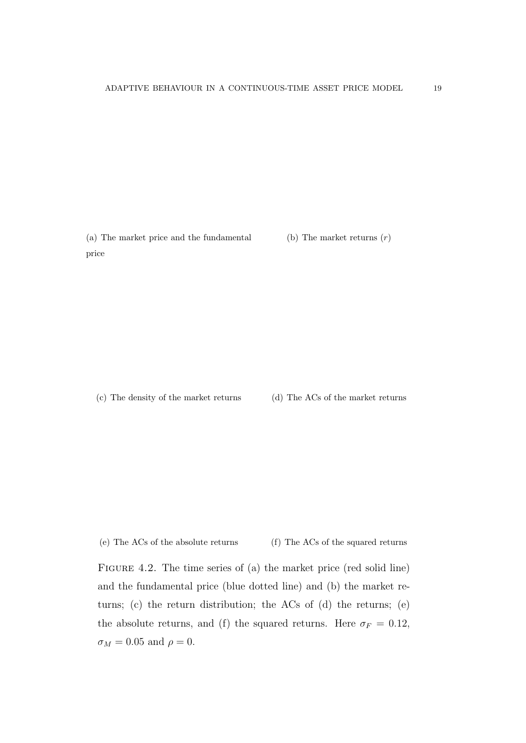(a) The market price and the fundamental price (b) The market returns  $(r)$ 

(c) The density of the market returns (d) The ACs of the market returns

<span id="page-18-0"></span>(e) The ACs of the absolute returns (f) The ACs of the squared returns

FIGURE 4.2. The time series of (a) the market price (red solid line) and the fundamental price (blue dotted line) and (b) the market returns; (c) the return distribution; the ACs of (d) the returns; (e) the absolute returns, and (f) the squared returns. Here  $\sigma_F = 0.12$ ,  $\sigma_M = 0.05$  and  $\rho = 0$ .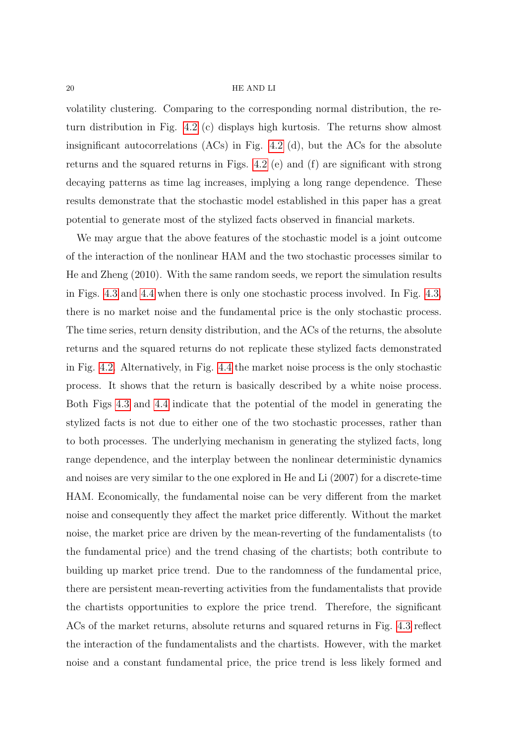volatility clustering. Comparing to the corresponding normal distribution, the return distribution in Fig. [4.2](#page-18-0) (c) displays high kurtosis. The returns show almost insignificant autocorrelations  $(ACs)$  in Fig. [4.2](#page-18-0) (d), but the ACs for the absolute returns and the squared returns in Figs. [4.2](#page-18-0) (e) and (f) are significant with strong decaying patterns as time lag increases, implying a long range dependence. These results demonstrate that the stochastic model established in this paper has a great potential to generate most of the stylized facts observed in financial markets.

We may argue that the above features of the stochastic model is a joint outcome of the interaction of the nonlinear HAM and the two stochastic processes similar to He and Zheng (2010). With the same random seeds, we report the simulation results in Figs. [4.3](#page-20-0) and [4.4](#page-21-0) when there is only one stochastic process involved. In Fig. [4.3,](#page-20-0) there is no market noise and the fundamental price is the only stochastic process. The time series, return density distribution, and the ACs of the returns, the absolute returns and the squared returns do not replicate these stylized facts demonstrated in Fig. [4.2.](#page-18-0) Alternatively, in Fig. [4.4](#page-21-0) the market noise process is the only stochastic process. It shows that the return is basically described by a white noise process. Both Figs [4.3](#page-20-0) and [4.4](#page-21-0) indicate that the potential of the model in generating the stylized facts is not due to either one of the two stochastic processes, rather than to both processes. The underlying mechanism in generating the stylized facts, long range dependence, and the interplay between the nonlinear deterministic dynamics and noises are very similar to the one explored in He and Li (2007) for a discrete-time HAM. Economically, the fundamental noise can be very different from the market noise and consequently they affect the market price differently. Without the market noise, the market price are driven by the mean-reverting of the fundamentalists (to the fundamental price) and the trend chasing of the chartists; both contribute to building up market price trend. Due to the randomness of the fundamental price, there are persistent mean-reverting activities from the fundamentalists that provide the chartists opportunities to explore the price trend. Therefore, the significant ACs of the market returns, absolute returns and squared returns in Fig. [4.3](#page-20-0) reflect the interaction of the fundamentalists and the chartists. However, with the market noise and a constant fundamental price, the price trend is less likely formed and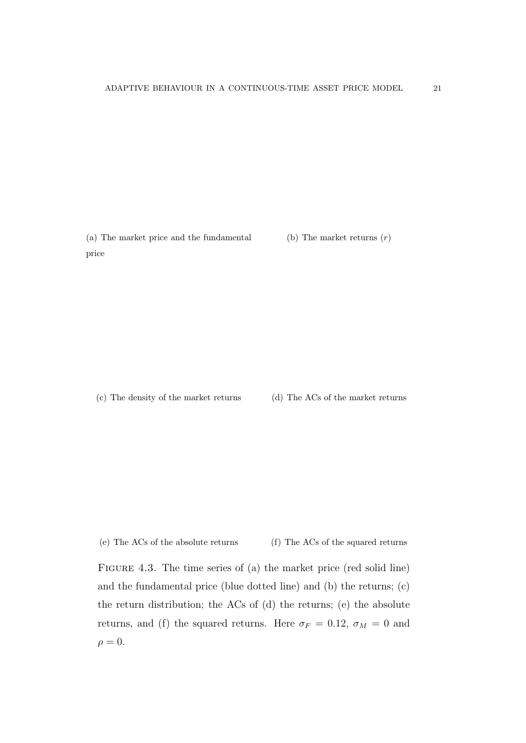(a) The market price and the fundamental price (b) The market returns  $(r)$ 

```
(c) The density of the market returns (d) The ACs of the market returns
```
<span id="page-20-0"></span>(e) The ACs of the absolute returns (f) The ACs of the squared returns

FIGURE 4.3. The time series of (a) the market price (red solid line) and the fundamental price (blue dotted line) and (b) the returns; (c) the return distribution; the ACs of (d) the returns; (e) the absolute returns, and (f) the squared returns. Here  $\sigma_F = 0.12$ ,  $\sigma_M = 0$  and  $\rho = 0.$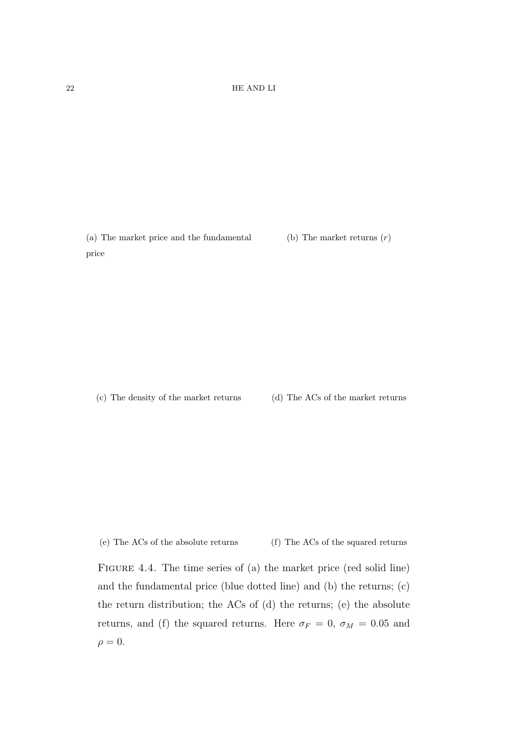(a) The market price and the fundamental price (b) The market returns  $(r)$ 

(c) The density of the market returns (d) The ACs of the market returns

<span id="page-21-0"></span>(e) The ACs of the absolute returns (f) The ACs of the squared returns

FIGURE 4.4. The time series of (a) the market price (red solid line) and the fundamental price (blue dotted line) and (b) the returns; (c) the return distribution; the ACs of (d) the returns; (e) the absolute returns, and (f) the squared returns. Here  $\sigma_F = 0$ ,  $\sigma_M = 0.05$  and  $\rho = 0.$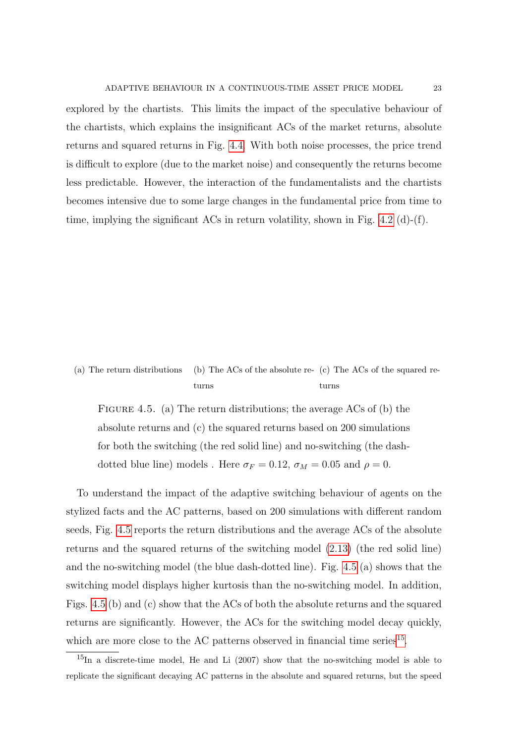#### ADAPTIVE BEHAVIOUR IN A CONTINUOUS-TIME ASSET PRICE MODEL 23

explored by the chartists. This limits the impact of the speculative behaviour of the chartists, which explains the insignificant ACs of the market returns, absolute returns and squared returns in Fig. [4.4.](#page-21-0) With both noise processes, the price trend is difficult to explore (due to the market noise) and consequently the returns become less predictable. However, the interaction of the fundamentalists and the chartists becomes intensive due to some large changes in the fundamental price from time to time, implying the significant ACs in return volatility, shown in Fig. [4.2](#page-18-0) (d)-(f).

#### (a) The return distributions (b) The ACs of the absolute re-(c) The ACs of the squared returns turns

<span id="page-22-0"></span>FIGURE 4.5. (a) The return distributions; the average ACs of (b) the absolute returns and (c) the squared returns based on 200 simulations for both the switching (the red solid line) and no-switching (the dashdotted blue line) models . Here  $\sigma_F = 0.12$ ,  $\sigma_M = 0.05$  and  $\rho = 0$ .

To understand the impact of the adaptive switching behaviour of agents on the stylized facts and the AC patterns, based on 200 simulations with different random seeds, Fig. [4.5](#page-22-0) reports the return distributions and the average ACs of the absolute returns and the squared returns of the switching model [\(2.13\)](#page-8-2) (the red solid line) and the no-switching model (the blue dash-dotted line). Fig. [4.5](#page-22-0) (a) shows that the switching model displays higher kurtosis than the no-switching model. In addition, Figs. [4.5](#page-22-0) (b) and (c) show that the ACs of both the absolute returns and the squared returns are significantly. However, the ACs for the switching model decay quickly, which are more close to the AC patterns observed in financial time series<sup>[15](#page-22-1)</sup>.

<span id="page-22-1"></span> $15$ In a discrete-time model, He and Li (2007) show that the no-switching model is able to replicate the significant decaying AC patterns in the absolute and squared returns, but the speed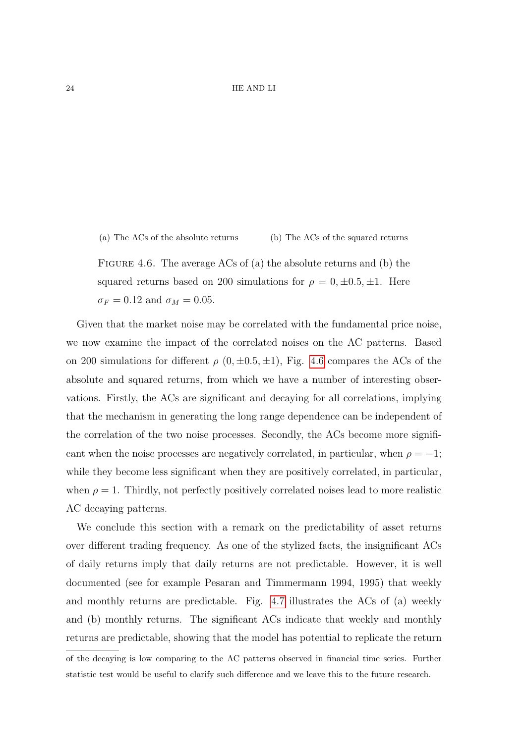<span id="page-23-0"></span>(a) The ACs of the absolute returns (b) The ACs of the squared returns

Figure 4.6. The average ACs of (a) the absolute returns and (b) the squared returns based on 200 simulations for  $\rho = 0, \pm 0.5, \pm 1$ . Here  $\sigma_F = 0.12$  and  $\sigma_M = 0.05$ .

Given that the market noise may be correlated with the fundamental price noise, we now examine the impact of the correlated noises on the AC patterns. Based on 200 simulations for different  $\rho$  (0,  $\pm$ 0.5,  $\pm$ 1), Fig. [4.6](#page-23-0) compares the ACs of the absolute and squared returns, from which we have a number of interesting observations. Firstly, the ACs are significant and decaying for all correlations, implying that the mechanism in generating the long range dependence can be independent of the correlation of the two noise processes. Secondly, the ACs become more significant when the noise processes are negatively correlated, in particular, when  $\rho = -1$ ; while they become less significant when they are positively correlated, in particular, when  $\rho = 1$ . Thirdly, not perfectly positively correlated noises lead to more realistic AC decaying patterns.

We conclude this section with a remark on the predictability of asset returns over different trading frequency. As one of the stylized facts, the insignificant ACs of daily returns imply that daily returns are not predictable. However, it is well documented (see for example Pesaran and Timmermann 1994, 1995) that weekly and monthly returns are predictable. Fig. [4.7](#page-24-0) illustrates the ACs of (a) weekly and (b) monthly returns. The significant ACs indicate that weekly and monthly returns are predictable, showing that the model has potential to replicate the return

of the decaying is low comparing to the AC patterns observed in financial time series. Further statistic test would be useful to clarify such difference and we leave this to the future research.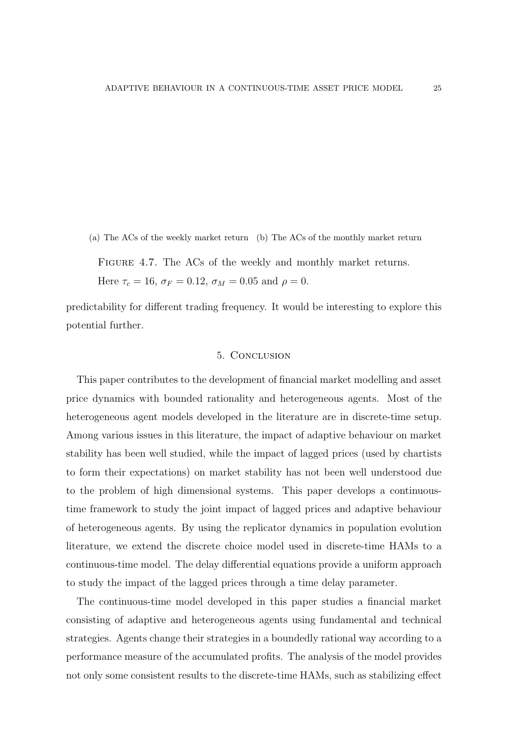(a) The ACs of the weekly market return (b) The ACs of the monthly market return

<span id="page-24-0"></span>FIGURE 4.7. The ACs of the weekly and monthly market returns. Here  $\tau_c = 16$ ,  $\sigma_F = 0.12$ ,  $\sigma_M = 0.05$  and  $\rho = 0$ .

predictability for different trading frequency. It would be interesting to explore this potential further.

### 5. Conclusion

This paper contributes to the development of financial market modelling and asset price dynamics with bounded rationality and heterogeneous agents. Most of the heterogeneous agent models developed in the literature are in discrete-time setup. Among various issues in this literature, the impact of adaptive behaviour on market stability has been well studied, while the impact of lagged prices (used by chartists to form their expectations) on market stability has not been well understood due to the problem of high dimensional systems. This paper develops a continuoustime framework to study the joint impact of lagged prices and adaptive behaviour of heterogeneous agents. By using the replicator dynamics in population evolution literature, we extend the discrete choice model used in discrete-time HAMs to a continuous-time model. The delay differential equations provide a uniform approach to study the impact of the lagged prices through a time delay parameter.

The continuous-time model developed in this paper studies a financial market consisting of adaptive and heterogeneous agents using fundamental and technical strategies. Agents change their strategies in a boundedly rational way according to a performance measure of the accumulated profits. The analysis of the model provides not only some consistent results to the discrete-time HAMs, such as stabilizing effect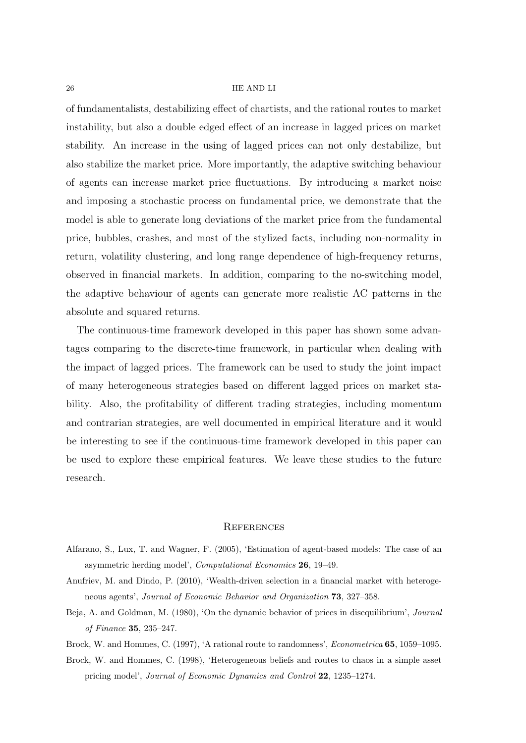of fundamentalists, destabilizing effect of chartists, and the rational routes to market instability, but also a double edged effect of an increase in lagged prices on market stability. An increase in the using of lagged prices can not only destabilize, but also stabilize the market price. More importantly, the adaptive switching behaviour of agents can increase market price fluctuations. By introducing a market noise and imposing a stochastic process on fundamental price, we demonstrate that the model is able to generate long deviations of the market price from the fundamental price, bubbles, crashes, and most of the stylized facts, including non-normality in return, volatility clustering, and long range dependence of high-frequency returns, observed in financial markets. In addition, comparing to the no-switching model, the adaptive behaviour of agents can generate more realistic AC patterns in the absolute and squared returns.

The continuous-time framework developed in this paper has shown some advantages comparing to the discrete-time framework, in particular when dealing with the impact of lagged prices. The framework can be used to study the joint impact of many heterogeneous strategies based on different lagged prices on market stability. Also, the profitability of different trading strategies, including momentum and contrarian strategies, are well documented in empirical literature and it would be interesting to see if the continuous-time framework developed in this paper can be used to explore these empirical features. We leave these studies to the future research.

## **REFERENCES**

- Alfarano, S., Lux, T. and Wagner, F. (2005), 'Estimation of agent-based models: The case of an asymmetric herding model', Computational Economics 26, 19–49.
- Anufriev, M. and Dindo, P. (2010), 'Wealth-driven selection in a financial market with heterogeneous agents', Journal of Economic Behavior and Organization 73, 327–358.
- Beja, A. and Goldman, M. (1980), 'On the dynamic behavior of prices in disequilibrium', Journal of Finance 35, 235–247.
- Brock, W. and Hommes, C. (1997), 'A rational route to randomness', Econometrica 65, 1059–1095.
- Brock, W. and Hommes, C. (1998), 'Heterogeneous beliefs and routes to chaos in a simple asset pricing model', Journal of Economic Dynamics and Control 22, 1235–1274.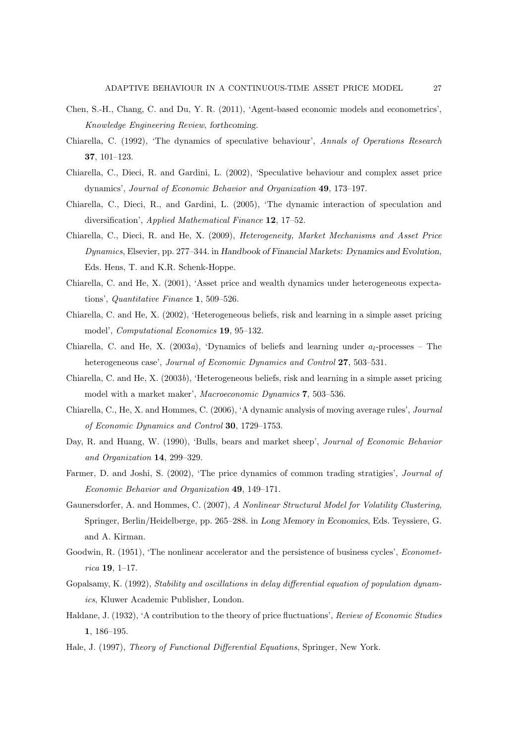- Chen, S.-H., Chang, C. and Du, Y. R. (2011), 'Agent-based economic models and econometrics', Knowledge Engineering Review, forthcoming.
- Chiarella, C. (1992), 'The dynamics of speculative behaviour', Annals of Operations Research 37, 101–123.
- Chiarella, C., Dieci, R. and Gardini, L. (2002), 'Speculative behaviour and complex asset price dynamics', Journal of Economic Behavior and Organization 49, 173–197.
- Chiarella, C., Dieci, R., and Gardini, L. (2005), 'The dynamic interaction of speculation and diversification', Applied Mathematical Finance 12, 17–52.
- Chiarella, C., Dieci, R. and He, X. (2009), Heterogeneity, Market Mechanisms and Asset Price Dynamics, Elsevier, pp. 277–344. in Handbook of Financial Markets: Dynamics and Evolution, Eds. Hens, T. and K.R. Schenk-Hoppe.
- Chiarella, C. and He, X. (2001), 'Asset price and wealth dynamics under heterogeneous expectations', Quantitative Finance 1, 509–526.
- Chiarella, C. and He, X. (2002), 'Heterogeneous beliefs, risk and learning in a simple asset pricing model', Computational Economics 19, 95–132.
- Chiarella, C. and He, X. (2003a), 'Dynamics of beliefs and learning under  $a_l$ -processes The heterogeneous case', Journal of Economic Dynamics and Control 27, 503-531.
- Chiarella, C. and He, X. (2003b), 'Heterogeneous beliefs, risk and learning in a simple asset pricing model with a market maker', Macroeconomic Dynamics 7, 503–536.
- Chiarella, C., He, X. and Hommes, C. (2006), 'A dynamic analysis of moving average rules', Journal of Economic Dynamics and Control 30, 1729–1753.
- Day, R. and Huang, W. (1990), 'Bulls, bears and market sheep', *Journal of Economic Behavior* and Organization 14, 299–329.
- Farmer, D. and Joshi, S. (2002), 'The price dynamics of common trading stratigies', Journal of Economic Behavior and Organization 49, 149–171.
- Gaunersdorfer, A. and Hommes, C. (2007), A Nonlinear Structural Model for Volatility Clustering, Springer, Berlin/Heidelberge, pp. 265–288. in Long Memory in Economics, Eds. Teyssiere, G. and A. Kirman.
- Goodwin, R. (1951), 'The nonlinear accelerator and the persistence of business cycles', *Economet*rica 19, 1–17.
- Gopalsamy, K. (1992), Stability and oscillations in delay differential equation of population dynamics, Kluwer Academic Publisher, London.
- Haldane, J. (1932), 'A contribution to the theory of price fluctuations', Review of Economic Studies 1, 186–195.
- Hale, J. (1997), Theory of Functional Differential Equations, Springer, New York.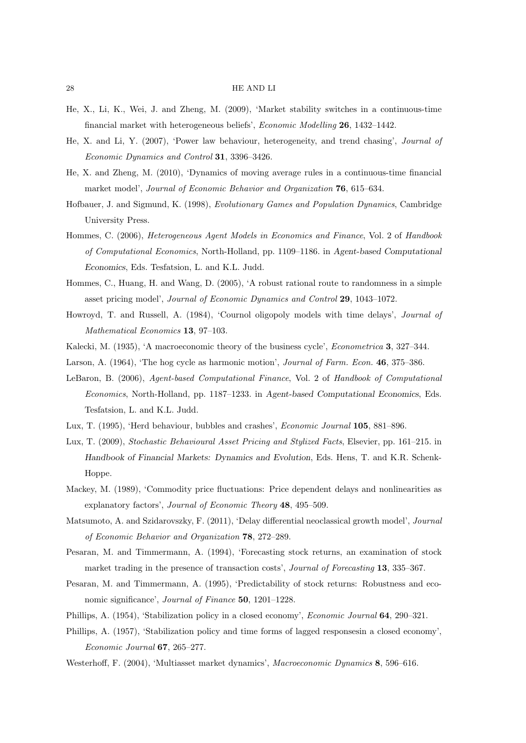- He, X., Li, K., Wei, J. and Zheng, M. (2009), 'Market stability switches in a continuous-time financial market with heterogeneous beliefs', Economic Modelling 26, 1432–1442.
- He, X. and Li, Y. (2007), 'Power law behaviour, heterogeneity, and trend chasing', Journal of Economic Dynamics and Control 31, 3396–3426.
- He, X. and Zheng, M. (2010), 'Dynamics of moving average rules in a continuous-time financial market model', Journal of Economic Behavior and Organization 76, 615–634.
- Hofbauer, J. and Sigmund, K. (1998), Evolutionary Games and Population Dynamics, Cambridge University Press.
- Hommes, C. (2006), Heterogeneous Agent Models in Economics and Finance, Vol. 2 of Handbook of Computational Economics, North-Holland, pp. 1109–1186. in Agent-based Computational Economics, Eds. Tesfatsion, L. and K.L. Judd.
- Hommes, C., Huang, H. and Wang, D. (2005), 'A robust rational route to randomness in a simple asset pricing model', Journal of Economic Dynamics and Control 29, 1043–1072.
- Howroyd, T. and Russell, A. (1984), 'Cournol oligopoly models with time delays', Journal of Mathematical Economics 13, 97–103.
- Kalecki, M. (1935), 'A macroeconomic theory of the business cycle', *Econometrica* 3, 327–344.
- Larson, A. (1964), 'The hog cycle as harmonic motion', Journal of Farm. Econ. 46, 375–386.
- LeBaron, B. (2006), Agent-based Computational Finance, Vol. 2 of Handbook of Computational Economics, North-Holland, pp. 1187–1233. in Agent-based Computational Economics, Eds. Tesfatsion, L. and K.L. Judd.
- Lux, T. (1995), 'Herd behaviour, bubbles and crashes', Economic Journal 105, 881–896.
- Lux, T. (2009), Stochastic Behavioural Asset Pricing and Stylized Facts, Elsevier, pp. 161–215. in Handbook of Financial Markets: Dynamics and Evolution, Eds. Hens, T. and K.R. Schenk-Hoppe.
- Mackey, M. (1989), 'Commodity price fluctuations: Price dependent delays and nonlinearities as explanatory factors', Journal of Economic Theory 48, 495–509.
- Matsumoto, A. and Szidarovszky, F. (2011), 'Delay differential neoclassical growth model', Journal of Economic Behavior and Organization 78, 272–289.
- Pesaran, M. and Timmermann, A. (1994), 'Forecasting stock returns, an examination of stock market trading in the presence of transaction costs', Journal of Forecasting 13, 335–367.
- Pesaran, M. and Timmermann, A. (1995), 'Predictability of stock returns: Robustness and economic significance', Journal of Finance 50, 1201–1228.
- Phillips, A. (1954), 'Stabilization policy in a closed economy', Economic Journal 64, 290–321.
- Phillips, A. (1957), 'Stabilization policy and time forms of lagged responsesin a closed economy', Economic Journal 67, 265–277.
- Westerhoff, F. (2004), 'Multiasset market dynamics', Macroeconomic Dynamics 8, 596–616.